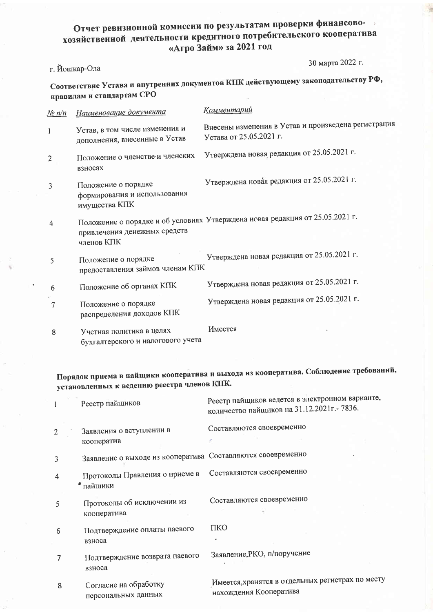## Отчет ревизионной комиссии по результатам проверки финансовохозяйственной деятельности кредитного потребительского кооператива «Агро Займ» за 2021 год

## г. Йошкар-Ола

30 марта 2022 г.

Соответствие Устава и внутренних документов КПК действующему законодательству РФ, правилам и стандартам СРО

| <u>No n/n</u>  | Наименование документа                                               | Коммен <u>тарий</u>                                                            |
|----------------|----------------------------------------------------------------------|--------------------------------------------------------------------------------|
| 1              | Устав, в том числе изменения и<br>дополнения, внесенные в Устав      | Внесены изменения в Устав и произведена регистрация<br>Устава от 25.05.2021 г. |
| $\overline{2}$ | Положение о членстве и членских<br>взносах                           | Утверждена новая редакция от 25.05.2021 г.                                     |
| 3              | Положение о порядке<br>формирования и использования<br>имущества КПК | Утверждена новая редакция от 25.05.2021 г.                                     |
| 4              | привлечения денежных средств<br>членов КПК                           | Положение о порядке и об условиях Утверждена новая редакция от 25.05.2021 г.   |
| 5              | Положение о порядке<br>предоставления займов членам КПК              | Утверждена новая редакция от 25.05.2021 г.                                     |
| 6              | Положение об органах КПК                                             | Утверждена новая редакция от 25.05.2021 г.                                     |
| 7              | Положение о порядке<br>распределения доходов КПК                     | Утверждена новая редакция от 25.05.2021 г.                                     |
| 8              | Учетная политика в целях<br>бухгалтерского и налогового учета        | Имеется                                                                        |

Порядок приема в пайщики кооператива и выхода из кооператива. Соблюдение требований, установленных к ведению реестра членов КПК.

|   | Реестр пайщиков                                             | Реестр пайщиков ведется в электронном варианте,<br>количество пайщиков на 31.12.2021г. - 7836. |
|---|-------------------------------------------------------------|------------------------------------------------------------------------------------------------|
|   | Заявления о вступлении в<br>кооператив                      | Составляются своевременно                                                                      |
|   | Заявление о выходе из кооператива Составляются своевременно |                                                                                                |
| 4 | Протоколы Правления о приеме в<br>пайщики                   | Составляются своевременно                                                                      |
| 5 | Протоколы об исключении из<br>кооператива                   | Составляются своевременно                                                                      |
| 6 | Подтверждение оплаты паевого<br>взноса                      | ПКО<br>٠                                                                                       |
|   | Подтверждение возврата паевого<br>взноса                    | Заявление, РКО, п/поручение                                                                    |
| 8 | Согласие на обработку<br>персональных данных                | Имеется, хранятся в отдельных регистрах по месту<br>нахождения Кооператива                     |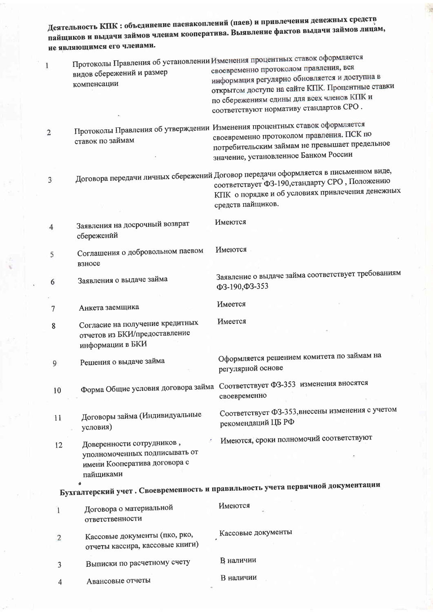Деятельность КПК : объединение паенакоплений (паев) и привлечения денежных средств пайщиков и выдачи займов членам кооператива. Выявление фактов выдачи займов лицам, не являющимся его членами.

| 1              | видов сбережений и размер<br>компенсации                                                                | Протоколы Правления об установлении Изменения процентных ставок оформляется<br>своевременно протоколом правления, вся<br>информация регулярно обновляется и доступна в<br>открытом доступе на сайте КПК. Процентные ставки<br>по сбережениям едины для всех членов КПК и<br>соответствуют нормативу стандартов СРО. |
|----------------|---------------------------------------------------------------------------------------------------------|---------------------------------------------------------------------------------------------------------------------------------------------------------------------------------------------------------------------------------------------------------------------------------------------------------------------|
| $\overline{2}$ | ставок по займам                                                                                        | Протоколы Правления об утверждении Изменения процентных ставок оформляется<br>своевременно протоколом правления. ПСК по<br>потребительским займам не превышает предельное<br>значение, установленное Банком России                                                                                                  |
| 3              |                                                                                                         | Договора передачи личных сбережений Договор передачи оформляется в письменном виде,<br>соответствует ФЗ-190, стандарту СРО, Положению<br>КПК о порядке и об условиях привлечения денежных<br>средств пайщиков.                                                                                                      |
| 4              | Заявления на досрочный возврат<br>сбережений                                                            | Имеются                                                                                                                                                                                                                                                                                                             |
| 5              | Соглашения о добровольном паевом<br>взносе                                                              | Имеются                                                                                                                                                                                                                                                                                                             |
| 6              | Заявления о выдаче займа                                                                                | Заявление о выдаче займа соответствует требованиям<br>$\Phi$ 3-190, $\Phi$ 3-353                                                                                                                                                                                                                                    |
| 7              | Анкета заемщика                                                                                         | Имеется                                                                                                                                                                                                                                                                                                             |
| 8              | Согласие на получение кредитных<br>отчетов из БКИ/предоставление<br>информации в БКИ                    | Имеется                                                                                                                                                                                                                                                                                                             |
| 9              | Решения о выдаче займа                                                                                  | Оформляется решением комитета по займам на<br>регулярной основе                                                                                                                                                                                                                                                     |
| 10             |                                                                                                         | Форма Общие условия договора займа Соответствует ФЗ-353 изменения вносятся<br>своевременно                                                                                                                                                                                                                          |
| 11             | Договоры займа (Индивидуальные<br>условия)                                                              | Соответствует ФЗ-353, внесены изменения с учетом<br>рекомендаций ЦБ РФ                                                                                                                                                                                                                                              |
| 12             | Доверенности сотрудников,<br>уполномоченных подписывать от<br>имени Кооператива договора с<br>пайщиками | Имеются, сроки полномочий соответствуют                                                                                                                                                                                                                                                                             |
|                |                                                                                                         | Бухгалтерский учет. Своевременность и правильность учета первичной документации                                                                                                                                                                                                                                     |
| $\mathbf{1}$   | Договора о материальной<br>ответственности                                                              | Имеются                                                                                                                                                                                                                                                                                                             |
| $\overline{c}$ | Кассовые документы (пко, рко,<br>отчеты кассира, кассовые книги)                                        | Кассовые документы                                                                                                                                                                                                                                                                                                  |
| 3              | Выписки по расчетному счету                                                                             | В наличии                                                                                                                                                                                                                                                                                                           |
| 4              | Авансовые отчеты                                                                                        | В наличии                                                                                                                                                                                                                                                                                                           |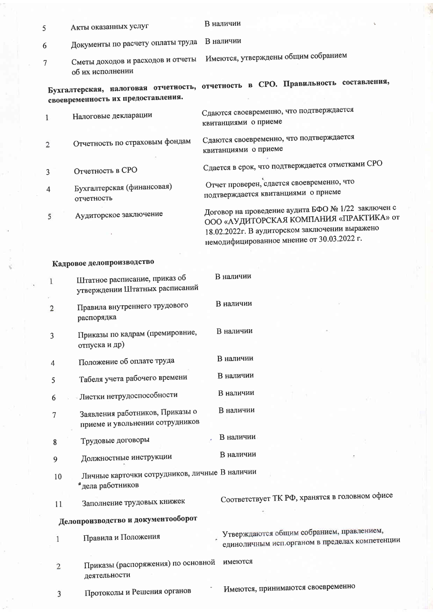| 5              | Акты оказанных услуг                                            | В наличии<br>ų.                                                                                                                                                                               |
|----------------|-----------------------------------------------------------------|-----------------------------------------------------------------------------------------------------------------------------------------------------------------------------------------------|
| 6              | Документы по расчету оплаты труда                               | В наличии                                                                                                                                                                                     |
| $\overline{7}$ | Сметы доходов и расходов и отчеты<br>об их исполнении           | Имеются, утверждены общим собранием                                                                                                                                                           |
|                | своевременность их предоставления.                              | Бухгалтерская, налоговая отчетность, отчетность в СРО. Правильность составления,                                                                                                              |
| 1              | Налоговые декларации                                            | Сдаются своевременно, что подтверждается<br>квитанциями о приеме                                                                                                                              |
| 2              | Отчетность по страховым фондам                                  | Сдаются своевременно, что подтверждается<br>квитанциями о приеме                                                                                                                              |
| 3              | Отчетность в СРО                                                | Сдается в срок, что подтверждается отметками СРО                                                                                                                                              |
| 4              | Бухгалтерская (финансовая)<br>отчетность                        | Отчет проверен, сдается своевременно, что<br>подтверждается квитанциями о приеме                                                                                                              |
| 5              | Аудиторское заключение                                          | Договор на проведение аудита БФО № 1/22 заключен с<br>ООО «АУДИТОРСКАЯ КОМПАНИЯ «ПРАКТИКА» от<br>18.02.2022г. В аудиторском заключении выражено<br>немодифицированное мнение от 30.03.2022 г. |
|                | Кадровое делопроизводство                                       |                                                                                                                                                                                               |
| 1              | Штатное расписание, приказ об<br>утверждении Штатных расписаний | В наличии                                                                                                                                                                                     |
|                |                                                                 | В напичии                                                                                                                                                                                     |

В наличии

В наличии

В наличии

В наличии

В наличии

- Правила внутреннего трудового  $\overline{2}$ распорядка
- Приказы по кадрам (премировние,  $\overline{3}$ отпуска и др)

Положение об оплате труда  $\overline{4}$ 

Табеля учета рабочего времени 5

Листки нетрудоспособности 6

Заявления работников, Приказы о  $\overline{7}$ приеме и увольнении сотрудников

В наличии Трудовые договоры 8

- В наличии Должностные инструкции 9
- Личные карточки сотрудников, личные В наличии 10 •дела работников

#### Заполнение трудовых книжек 11

Соответствует ТК РФ, хранятся в головном офисе

Утверждаются общим собранием, правлением,

единоличным исп.органом в пределах компетенции

# Делопроизводство и документооборот

Правила и Положения  $\overline{1}$ 

Приказы (распоряжения) по основной имеются  $\overline{2}$ деятельности

Протоколы и Решения органов  $\overline{3}$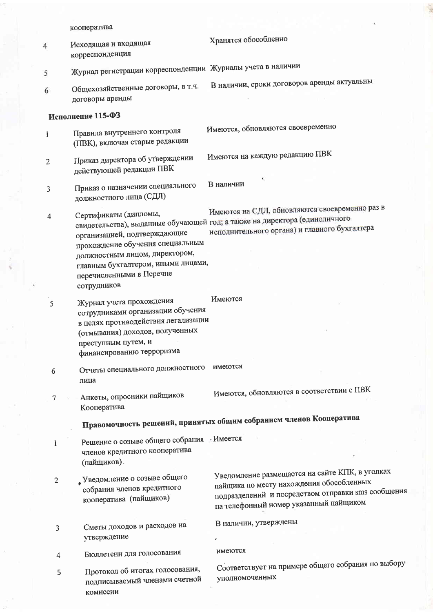|                | кооператива                                                                                                                                                                                                  | ¥                                                                                                                                                                                           |
|----------------|--------------------------------------------------------------------------------------------------------------------------------------------------------------------------------------------------------------|---------------------------------------------------------------------------------------------------------------------------------------------------------------------------------------------|
| 4              | Исходящая и входящая<br>корреспонденция                                                                                                                                                                      | Хранятся обособленно                                                                                                                                                                        |
| 5              | Журнал регистрации корреспонденции Журналы учета в наличии                                                                                                                                                   |                                                                                                                                                                                             |
| 6              | Общехозяйственные договоры, в т.ч.<br>договоры аренды                                                                                                                                                        | В наличии, сроки договоров аренды актуальны                                                                                                                                                 |
|                | Исполнение 115-ФЗ                                                                                                                                                                                            |                                                                                                                                                                                             |
| $\mathbf{1}$   | Правила внутреннего контроля<br>(ПВК), включая старые редакции                                                                                                                                               | Имеются, обновляются своевременно                                                                                                                                                           |
| 2              | Приказ директора об утверждении<br>действующей редакции ПВК                                                                                                                                                  | Имеются на каждую редакцию ПВК                                                                                                                                                              |
| 3              | Приказ о назначении специального<br>должностного лица (СДЛ)                                                                                                                                                  | В наличии                                                                                                                                                                                   |
| 4              | Сертификаты (дипломы,<br>организацией, подтверждающие<br>прохождение обучения специальным<br>должностным лицом, директором,<br>главным бухгалтером, иными лицами,<br>перечисленными в Перечне<br>сотрудников | Имеются на СДЛ, обновляются своевременно раз в<br>свидетельства), выданные обучающей год; а также на директора (единоличного<br>исполнительного органа) и главного бухгалтера               |
| 5              | Журнал учета прохождения<br>сотрудниками организации обучения<br>в целях противодействия легализации<br>(отмывания) доходов, полученных<br>преступным путем, и<br>финансированию терроризма                  | Имеются                                                                                                                                                                                     |
| 6              | Отчеты специального должностного<br>лица                                                                                                                                                                     | имеются                                                                                                                                                                                     |
| 7              | Анкеты, опросники пайщиков<br>Кооператива                                                                                                                                                                    | Имеются, обновляются в соответствии с ПВК                                                                                                                                                   |
|                |                                                                                                                                                                                                              | Правомочность решений, принятых общим собранием членов Кооператива                                                                                                                          |
| 1              | Решение о созыве общего собрания Имеется<br>членов кредитного кооператива<br>(пайщиков).                                                                                                                     |                                                                                                                                                                                             |
| $\overline{2}$ | <u>4</u> Уведомление о созыве общего<br>собрания членов кредитного<br>кооператива (пайщиков)                                                                                                                 | Уведомление размещается на сайте КПК, в уголках<br>пайщика по месту нахождения обособленных<br>подразделений и посредством отправки sms сообщения<br>на телефонный номер указанный пайщиком |
| 3              | Сметы доходов и расходов на<br>утверждение                                                                                                                                                                   | В наличии, утверждены                                                                                                                                                                       |
| 4              | Бюллетени для голосования                                                                                                                                                                                    | имеются                                                                                                                                                                                     |
| 5              | Протокол об итогах голосования,<br>подписываемый членами счетной<br>комиссии                                                                                                                                 | Соответствует на примере общего собрания по выбору<br>уполномоченных                                                                                                                        |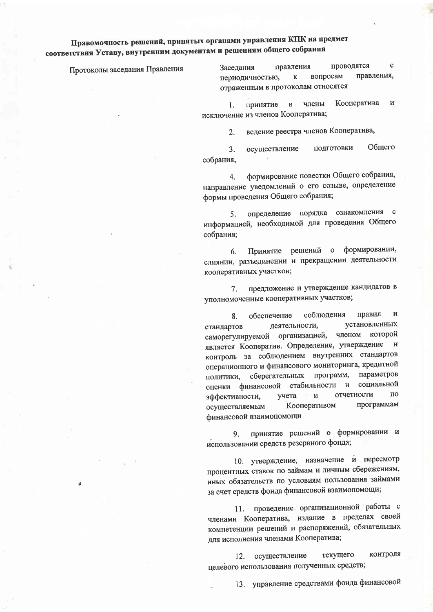## Правомочность решений, принятых органами управления КПК на предмет соответствия Уставу, внутренним документам и решениям общего собрания

Протоколы заседания Правления

проводятся  $\mathbf{c}$ правления Заселания правления, вопросам  $\mathbf{K}$ периодичностью, отраженным в протоколам относятся

Кооператива  $\mathbf{M}$ члены принятие  $\overline{B}$ 1. исключение из членов Кооператива;

> ведение реестра членов Кооператива,  $2.$

подготовки Обшего  $3<sup>1</sup>$ осуществление собрания,

формирование повестки Общего собрания,  $\overline{4}$ . направление уведомлений о его созыве, определение формы проведения Общего собрания;

определение порядка ознакомления с  $5.$ информацией, необходимой для проведения Общего собрания;

формировании, Принятие решений  $\mathbf{o}$  $6<sub>1</sub>$ слиянии, разъединении и прекращении деятельности кооперативных участков;

предложение и утверждение кандидатов в 7. уполномоченные кооперативных участков;

правил соблюдения И 8. обеспечение установленных деятельности, стандартов саморегулируемой организацией, членом которой является Кооператив. Определение, утверждение и контроль за соблюдением внутренних стандартов операционного и финансового мониторинга, кредитной параметров сберегательных программ, политики, социальной стабильности и оценки финансовой отчетности  $\overline{10}$ учета  $\mathbf{M}$ эффективности, программам Кооперативом осуществляемым финансовой взаимопомощи

принятие решений о формировании и 9. использовании средств резервного фонда;

10. утверждение, назначение и пересмотр процентных ставок по займам и личным сбережениям, иных обязательств по условиям пользования займами за счет средств фонда финансовой взаимопомощи;

проведение организационной работы с 11. членами Кооператива, издание в пределах своей компетенции решений и распоряжений, обязательных для исполнения членами Кооператива;

контроля осуществление текущего  $12.$ целевого использования полученных средств;

13. управление средствами фонда финансовой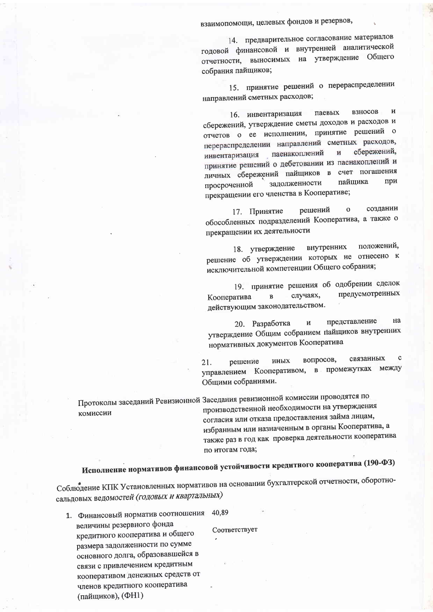взаимопомощи, целевых фондов и резервов,

14. предварительное согласование материалов годовой финансовой и внутренней аналитической отчетности, выносимых на утверждение Общего собрания пайщиков;

15. принятие решений о перераспределении направлений сметных расходов;

взносов  $\mathbf{M}$ паевых 16. инвентаризация сбережений, утверждение сметы доходов и расходов и отчетов о ее исполнении, принятие решений о перераспределении направлений сметных расходов, сбережений, паенакоплений И инвентаризация принятие решений о дебетовании из паенакоплений и личных сбережений пайщиков в счет погашения при пайшика задолженности просроченной прекращении его членства в Кооперативе;

создании решений  $\mathbf{o}$ 17. Принятие обособленных подразделений Кооператива, а также о прекращении их деятельности

положений, внутренних 18. утверждение решение об утверждении которых не отнесено к исключительной компетенции Общего собрания;

19. принятие решения об одобрении сделок предусмотренных случаях, Кооператива  $\overline{B}$ действующим законодательством.

представление на 20. Разработка  $\overline{\mathbf{M}}$ утверждение Общим собранием пайщиков внутренних нормативных документов Кооператива

 $\mathbf c$ вопросов, связанных иных решение 21. управлением Кооперативом, в промежутках между Общими собраниями.

Протоколы заседаний Ревизионной Заседания ревизионной комиссии проводятся по производственной необходимости на утверждения комиссии согласия или отказа предоставления займа лицам,

избранным или назначенным в органы Кооператива, а также раз в год как проверка деятельности кооператива по итогам года;

Исполнение нормативов финансовой устойчивости кредитного кооператива (190-ФЗ)

Соблюдение КПК Установленных нормативов на основании бухгалтерской отчетности, оборотносальдовых ведомостей (годовых и квартальных)

1. Финансовый норматив соотношения 40.89 величины резервного фонда кредитного кооператива и общего размера задолженности по сумме основного долга, образовавшейся в связи с привлечением кредитным кооперативом денежных средств от членов кредитного кооператива (пайщиков), (ФН1)

Соответствует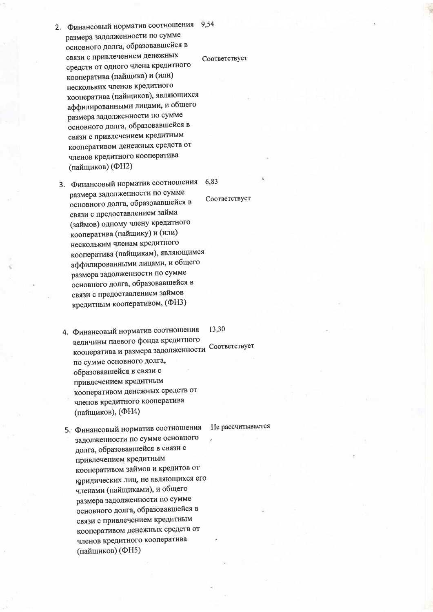- 2. Финансовый норматив соотношения 9,54 размера задолженности по сумме основного долга, образовавшейся в связи с привлечением денежных средств от одного члена кредитного кооператива (пайщика) и (или) нескольких членов кредитного кооператива (пайщиков), являющихся аффилированными лицами, и общего размера задолженности по сумме основного долга, образовавшейся в связи с привлечением кредитным кооперативом денежных средств от членов кредитного кооператива (пайщиков) (ФН2)
- 3. Финансовый норматив соотношения 6.83 размера задолженности по сумме основного долга, образовавшейся в связи с предоставлением займа (займов) одному члену кредитного кооператива (пайщику) и (или) нескольким членам кредитного кооператива (пайщикам), являющимся аффилированными лицами, и общего размера задолженности по сумме основного долга, образовавшейся в связи с предоставлением займов кредитным кооперативом, (ФНЗ)
	- 4. Финансовый норматив соотношения 13,30 величины паевого фонда кредитного кооператива и размера задолженности Соответствует по сумме основного долга, образовавшейся в связи с привлечением кредитным кооперативом денежных средств от членов кредитного кооператива (пайщиков), (ФН4)
	- 5. Финансовый норматив соотношения задолженности по сумме основного долга, образовавшейся в связи с привлечением кредитным кооперативом займов и кредитов от юридических лиц, не являющихся его членами (пайщиками), и общего размера задолженности по сумме основного долга, образовавшейся в связи с привлечением кредитным кооперативом денежных средств от членов кредитного кооператива (пайщиков) (ФН5)

### Не рассчитывается

Соответствует

### Соответствует